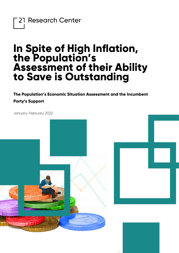21 Research Center

## **In Spite of High Inflation, the Population's Assessment of their Ability to Save is Outstanding**

**The Population's Economic Situation Assessment and the Incumbent Party's Support**

January-February 2022

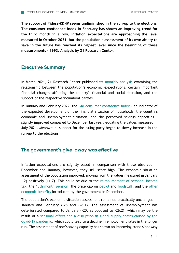**The support of Fidesz-KDNP seems undiminished in the run-up to the elections. The consumer confidence index in February has shown an improving trend for the third month in a row. Inflation expectations are approaching the level measured in October 2021, but the population's assessment of its own ability to save in the future has reached its highest level since the beginning of these measurements - 1993. Analysis by 21 Research Center.**

## **Executive Summary**

In March 2021, 21 Research Center published its [monthly analysis](https://21kutatokozpont.hu/wp-content/uploads/2021/03/bizalmi_21marc.pdf) examining the relationship between the population's economic expectations, certain important financial changes affecting the country's financial and social situation, and the support of the respective incumbent parties.

In January and February 2022, the [GKI consumer confidence index](https://www.gki.hu/language/hu/2021/12/20/decemberben-az-uzleti-szfera-nagyon-pesszimistan-tekintett-a-magyar-gazdasag-jovojere-de-a-fogyasztok-bizakodobba-valtak/) - an indicator of the expected development of the financial situation of households, the country's economic and unemployment situation, and the perceived savings capacities slightly improved compared to December last year, equaling the values measured in July 2021. Meanwhile, support for the ruling party began to slowly increase in the run-up to the elections.

## **The government's give-away was effective**

Inflation expectations are slightly eased in comparison with those observed in December and January, however, they still score high. The economic situation assessment of the population improved, moving from the values measured in January (-2) positively (+1.7). This could be due to the [reimbursement of personal income](https://www.portfolio.hu/gazdasag/20220215/szja-visszaterites-figyelmeztetest-adott-ki-a-nav-526899)  [tax,](https://www.portfolio.hu/gazdasag/20220215/szja-visszaterites-figyelmeztetest-adott-ki-a-nav-526899) the [13th month pension,](https://www.portfolio.hu/gazdasag/20220213/sulyos-igazsag-derult-ki-a-magyar-nyugdijakrol-526487) the price cap on [petrol](https://www.portfolio.hu/gazdasag/20220303/a-benzinarstop-csapdaja-rendkivul-kenyes-helyzetben-a-kormany-530703) and [foodstuff,](https://www.portfolio.hu/gazdasag/20220114/megjott-a-rendelet-az-elelmiszerar-stoprol-igy-csokken-a-6-termek-ara-521238) and the [other](https://index.hu/belfold/2022/01/01/valtozasok-2022-januar-1/)  [economic benefits](https://index.hu/belfold/2022/01/01/valtozasok-2022-januar-1/) introduced by the government in December.

The population's economic situation assessment remained practically unchanged in January and February (-28 and -28.1). The assessment of unemployment has deteriorated compared to January (-20, as opposed to -26.2), which may be the result of a [seasonal effect and a disruption in global supply chains caused by the](https://www.portfolio.hu/gazdasag/20220225/visszaesik-a-kozfoglalkoztatas-no-a-munkanelkuliseg-mi-tortenik-magyarorszagon-529001)  [Covid-19 pandemic,](https://www.portfolio.hu/gazdasag/20220225/visszaesik-a-kozfoglalkoztatas-no-a-munkanelkuliseg-mi-tortenik-magyarorszagon-529001) which could lead to a decline in employment rates in the longer run. The assessment of one's saving capacity has shown an improving trend since May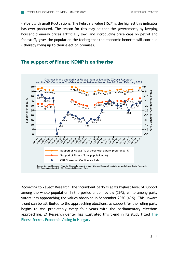- albeit with small fluctuations. The February value (15.7) is the highest this indicator has ever produced. The reason for this may be that the government, by keeping household energy prices artificially low, and introducing price caps on petrol and foodstuff, gives the population the feeling that the economic benefits will continue - thereby living up to their election promises.

## **The support of Fidesz-KDNP is on the rise**



According to Závecz Research, the incumbent party is at its highest level of support among the whole population in the period under review (39%), while among party voters it is approaching the values observed in September 2020 (49%). This upward trend can be attributed to the approaching elections, as support for the ruling party begins to rise predictably every four years with the parliamentary elections approaching. 21 Research Center has illustrated this trend in its study titled [The](https://21kutatokozpont.hu/wp-content/uploads/2020/06/Fidesz_titok_21_Kutat%C3%B3k%C3%B6zpont_tanulm%C3%A1ny.pdf)  [Fidesz Secret. Economic Voting in Hungary.](https://21kutatokozpont.hu/wp-content/uploads/2020/06/Fidesz_titok_21_Kutat%C3%B3k%C3%B6zpont_tanulm%C3%A1ny.pdf)